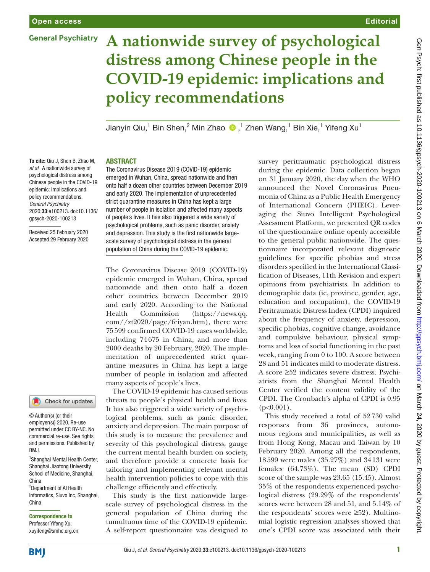# **General Psychiatry**

# **Editorial**

# **A nationwide survey of psychological distress among Chinese people in the COVID-19 epidemic: implications and policy recommendations**

JianyinQiu,<sup>1</sup> Bin Shen,<sup>2</sup> Min Zhao  $\bigcirc$  ,<sup>1</sup> Zhen Wang,<sup>1</sup> Bin Xie,<sup>1</sup> Yifeng Xu<sup>1</sup>

### **ABSTRACT**

The Coronavirus Disease 2019 (COVID-19) epidemic emerged in Wuhan, China, spread nationwide and then onto half a dozen other countries between December 2019 and early 2020. The implementation of unprecedented strict quarantine measures in China has kept a large number of people in isolation and affected many aspects of people's lives. It has also triggered a wide variety of psychological problems, such as panic disorder, anxiety and depression. This study is the first nationwide largescale survey of psychological distress in the general population of China during the COVID-19 epidemic.

The Coronavirus Disease 2019 (COVID-19) epidemic emerged in Wuhan, China, spread nationwide and then onto half a dozen other countries between December 2019 and early 2020. According to the National Health Commission ([https://news.qq.](https://news.qq.com//zt2020/page/feiyan.htm)

To cite: Qiu J, Shen B, Zhao M, *et al*. A nationwide survey of psychological distress among Chinese people in the COVID-19 epidemic: implications and policy recommendations. *General Psychiatry* 2020;33:e100213. doi:10.1136/ gpsych-2020-100213

Received 25 February 2020 Accepted 29 February 2020

## Check for updates

© Author(s) (or their employer(s)) 2020. Re-use permitted under CC BY-NC. No commercial re-use. See rights and permissions. Published by RM<sub>J</sub>

<sup>1</sup> Shanghai Mental Health Center, Shanghai Jiaotong University School of Medicine, Shanghai, China

2 Department of AI Health Informatics, Siuvo Inc, Shanghai, China

#### Correspondence to Professor Yifeng Xu; xuyifeng@smhc.org.cn

[com//zt2020/page/feiyan.htm](https://news.qq.com//zt2020/page/feiyan.htm)), there were 75599 confirmed COVID-19 cases worldwide, including 74675 in China, and more than 2000 deaths by 20 February, 2020. The implementation of unprecedented strict quarantine measures in China has kept a large number of people in isolation and affected many aspects of people's lives.

> The COVID-19 epidemic has caused serious threats to people's physical health and lives. It has also triggered a wide variety of psychological problems, such as panic disorder, anxiety and depression. The main purpose of this study is to measure the prevalence and severity of this psychological distress, gauge the current mental health burden on society, and therefore provide a concrete basis for tailoring and implementing relevant mental health intervention policies to cope with this challenge efficiently and effectively.

> This study is the first nationwide largescale survey of psychological distress in the general population of China during the tumultuous time of the COVID-19 epidemic. A self-report questionnaire was designed to

survey peritraumatic psychological distress during the epidemic. Data collection began on 31 January 2020, the day when the WHO announced the Novel Coronavirus Pneumonia of China as a Public Health Emergency of International Concern (PHEIC). Leveraging the Siuvo Intelligent Psychological Assessment Platform, we presented QR codes of the questionnaire online openly accessible to the general public nationwide. The questionnaire incorporated relevant diagnostic guidelines for specific phobias and stress disorders specified in the International Classification of Diseases, 11th Revision and expert opinions from psychiatrists. In addition to demographic data (ie, province, gender, age, education and occupation), the COVID-19 Peritraumatic Distress Index (CPDI) inquired about the frequency of anxiety, depression, specific phobias, cognitive change, avoidance and compulsive behaviour, physical symptoms and loss of social functioning in the past week, ranging from 0 to 100. A score between 28 and 51 indicates mild to moderate distress. A score ≥52 indicates severe distress. Psychiatrists from the Shanghai Mental Health Center verified the content validity of the CPDI. The Cronbach's alpha of CPDI is 0.95  $(p<0.001)$ .

This study received a total of 52730 valid responses from 36 provinces, autonomous regions and municipalities, as well as from Hong Kong, Macau and Taiwan by 10 February 2020. Among all the respondents, 18599 were males (35.27%) and 34131 were females (64.73%). The mean (SD) CPDI score of the sample was 23.65 (15.45). Almost 35% of the respondents experienced psychological distress (29.29% of the respondents' scores were between 28 and 51, and 5.14% of the respondents' scores were ≥52). Multinomial logistic regression analyses showed that one's CPDI score was associated with their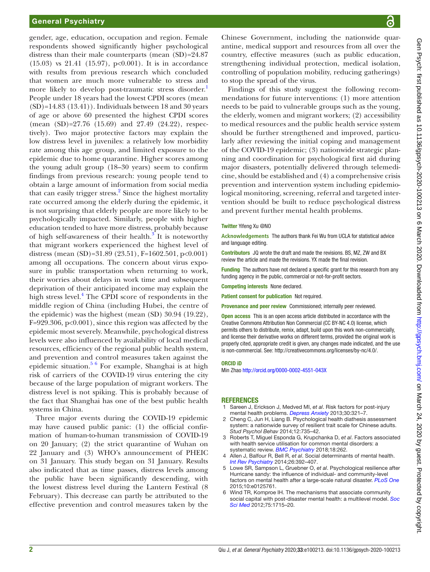gender, age, education, occupation and region. Female respondents showed significantly higher psychological distress than their male counterparts (mean  $(SD)=24.87$ (15.03) vs 21.41 (15.97), p<0.001). It is in accordance with results from previous research which concluded that women are much more vulnerable to stress and more likely to develop post-traumatic stress disorder.<sup>[1](#page-1-0)</sup> People under 18 years had the lowest CPDI scores (mean  $(SD)=14.83$   $(13.41)$ . Individuals between 18 and 30 years of age or above 60 presented the highest CPDI scores (mean (SD)=27.76 (15.69) and 27.49 (24.22), respectively). Two major protective factors may explain the low distress level in juveniles: a relatively low morbidity rate among this age group, and limited exposure to the epidemic due to home quarantine. Higher scores among the young adult group (18–30 years) seem to confirm findings from previous research: young people tend to obtain a large amount of information from social media that can easily trigger stress.<sup>[2](#page-1-1)</sup> Since the highest mortality rate occurred among the elderly during the epidemic, it is not surprising that elderly people are more likely to be psychologically impacted. Similarly, people with higher education tended to have more distress, probably because of high self-awareness of their health. $3^{\circ}$  $3^{\circ}$  It is noteworthy that migrant workers experienced the highest level of distress (mean (SD)=31.89 (23.51), F=1602.501, p<0.001) among all occupations. The concern about virus exposure in public transportation when returning to work, their worries about delays in work time and subsequent deprivation of their anticipated income may explain the high stress level.<sup>[4](#page-1-3)</sup> The CPDI score of respondents in the middle region of China (including Hubei, the centre of the epidemic) was the highest (mean (SD) 30.94 (19.22),  $F=929.306$ ,  $p<0.001$ , since this region was affected by the epidemic most severely. Meanwhile, psychological distress levels were also influenced by availability of local medical resources, efficiency of the regional public health system, and prevention and control measures taken against the epidemic situation. $56$  For example, Shanghai is at high risk of carriers of the COVID-19 virus entering the city because of the large population of migrant workers. The distress level is not spiking. This is probably because of the fact that Shanghai has one of the best public health systems in China.

Three major events during the COVID-19 epidemic may have caused public panic: (1) the official confirmation of human-to-human transmission of COVID-19 on 20 January; (2) the strict quarantine of Wuhan on 22 January and (3) WHO's announcement of PHEIC on 31 January. This study began on 31 January. Results also indicated that as time passes, distress levels among the public have been significantly descending, with the lowest distress level during the Lantern Festival (8 February). This decrease can partly be attributed to the effective prevention and control measures taken by the

Chinese Government, including the nationwide quarantine, medical support and resources from all over the country, effective measures (such as public education, strengthening individual protection, medical isolation, controlling of population mobility, reducing gatherings) to stop the spread of the virus.

Findings of this study suggest the following recommendations for future interventions: (1) more attention needs to be paid to vulnerable groups such as the young, the elderly, women and migrant workers; (2) accessibility to medical resources and the public health service system should be further strengthened and improved, particularly after reviewing the initial coping and management of the COVID-19 epidemic; (3) nationwide strategic planning and coordination for psychological first aid during major disasters, potentially delivered through telemedicine, should be established and (4) a comprehensive crisis prevention and intervention system including epidemiological monitoring, screening, referral and targeted intervention should be built to reduce psychological distress and prevent further mental health problems.

#### Twitter Yifeng Xu [@NO](https://twitter.com/NO)

**Acknowledgements** The authors thank Fei Wu from UCLA for statistical advice and language editing.

Contributors JQ wrote the draft and made the revisions. BS, MZ, ZW and BX review the article and made the revisions. YX made the final revision.

Funding The authors have not declared a specific grant for this research from any funding agency in the public, commercial or not-for-profit sectors.

Competing interests None declared.

Patient consent for publication Not required.

Provenance and peer review Commissioned; internally peer reviewed.

Open access This is an open access article distributed in accordance with the Creative Commons Attribution Non Commercial (CC BY-NC 4.0) license, which permits others to distribute, remix, adapt, build upon this work non-commercially, and license their derivative works on different terms, provided the original work is properly cited, appropriate credit is given, any changes made indicated, and the use is non-commercial. See: [http://creativecommons.org/licenses/by-nc/4.0/.](http://creativecommons.org/licenses/by-nc/4.0/)

#### ORCID iD

Min Zhao<http://orcid.org/0000-0002-4551-043X>

#### **REFERENCES**

- <span id="page-1-0"></span>Sareen J, Erickson J, Medved MI, et al. Risk factors for post-injury mental health problems. *[Depress Anxiety](http://dx.doi.org/10.1002/da.22077)* 2013;30:321–7.
- <span id="page-1-1"></span>2 Cheng C, Jun H, Liang B. Psychological health diathesis assessment system: a nationwide survey of resilient trait scale for Chinese adults. *Stud Psychol Behav* 2014;12:735–42.
- <span id="page-1-2"></span>3 Roberts T, Miguel Esponda G, Krupchanka D, *et al*. Factors associated with health service utilisation for common mental disorders: a systematic review. *[BMC Psychiatry](http://dx.doi.org/10.1186/s12888-018-1837-1)* 2018;18:262.
- <span id="page-1-3"></span>4 Allen J, Balfour R, Bell R, *et al*. Social determinants of mental health. *[Int Rev Psychiatry](http://dx.doi.org/10.3109/09540261.2014.928270)* 2014;26:392–407.
- <span id="page-1-4"></span>5 Lowe SR, Sampson L, Gruebner O, *et al*. Psychological resilience after Hurricane sandy: the influence of individual- and community-level factors on mental health after a large-scale natural disaster. *[PLoS One](http://dx.doi.org/10.1371/journal.pone.0125761)* 2015;10:e0125761.
- 6 Wind TR, Komproe IH. The mechanisms that associate community social capital with post-disaster mental health: a multilevel model. *[Soc](http://dx.doi.org/10.1016/j.socscimed.2012.06.032)  [Sci Med](http://dx.doi.org/10.1016/j.socscimed.2012.06.032)* 2012;75:1715–20.